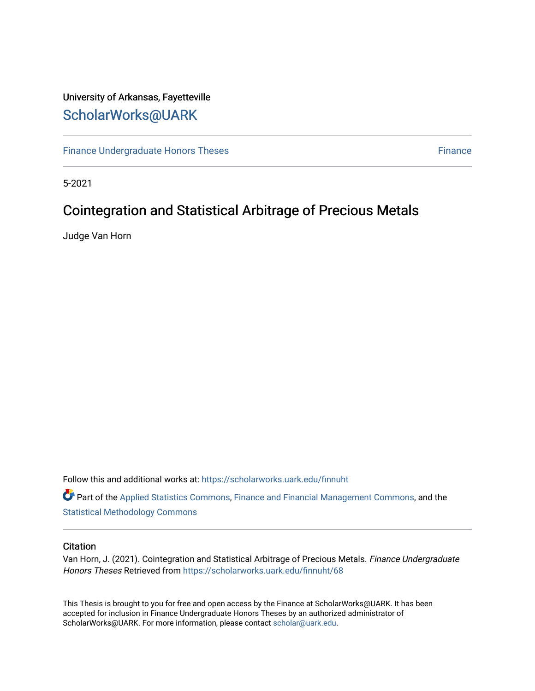# University of Arkansas, Fayetteville [ScholarWorks@UARK](https://scholarworks.uark.edu/)

[Finance Undergraduate Honors Theses](https://scholarworks.uark.edu/finnuht) **[Finance](https://scholarworks.uark.edu/finn) Executes** Finance Finance

5-2021

# Cointegration and Statistical Arbitrage of Precious Metals

Judge Van Horn

Follow this and additional works at: [https://scholarworks.uark.edu/finnuht](https://scholarworks.uark.edu/finnuht?utm_source=scholarworks.uark.edu%2Ffinnuht%2F68&utm_medium=PDF&utm_campaign=PDFCoverPages)

Part of the [Applied Statistics Commons](http://network.bepress.com/hgg/discipline/209?utm_source=scholarworks.uark.edu%2Ffinnuht%2F68&utm_medium=PDF&utm_campaign=PDFCoverPages), [Finance and Financial Management Commons](http://network.bepress.com/hgg/discipline/631?utm_source=scholarworks.uark.edu%2Ffinnuht%2F68&utm_medium=PDF&utm_campaign=PDFCoverPages), and the [Statistical Methodology Commons](http://network.bepress.com/hgg/discipline/213?utm_source=scholarworks.uark.edu%2Ffinnuht%2F68&utm_medium=PDF&utm_campaign=PDFCoverPages) 

#### **Citation**

Van Horn, J. (2021). Cointegration and Statistical Arbitrage of Precious Metals. Finance Undergraduate Honors Theses Retrieved from [https://scholarworks.uark.edu/finnuht/68](https://scholarworks.uark.edu/finnuht/68?utm_source=scholarworks.uark.edu%2Ffinnuht%2F68&utm_medium=PDF&utm_campaign=PDFCoverPages)

This Thesis is brought to you for free and open access by the Finance at ScholarWorks@UARK. It has been accepted for inclusion in Finance Undergraduate Honors Theses by an authorized administrator of ScholarWorks@UARK. For more information, please contact [scholar@uark.edu](mailto:scholar@uark.edu).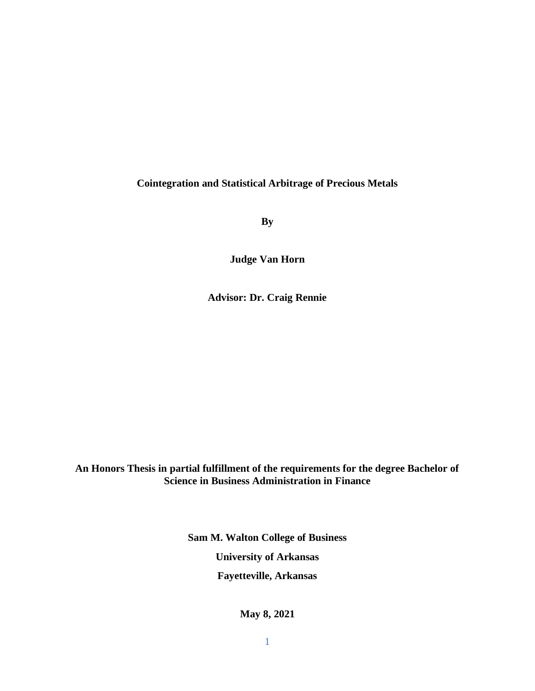## **Cointegration and Statistical Arbitrage of Precious Metals**

**By**

**Judge Van Horn**

**Advisor: Dr. Craig Rennie**

**An Honors Thesis in partial fulfillment of the requirements for the degree Bachelor of Science in Business Administration in Finance**

> **Sam M. Walton College of Business University of Arkansas Fayetteville, Arkansas**

> > **May 8, 2021**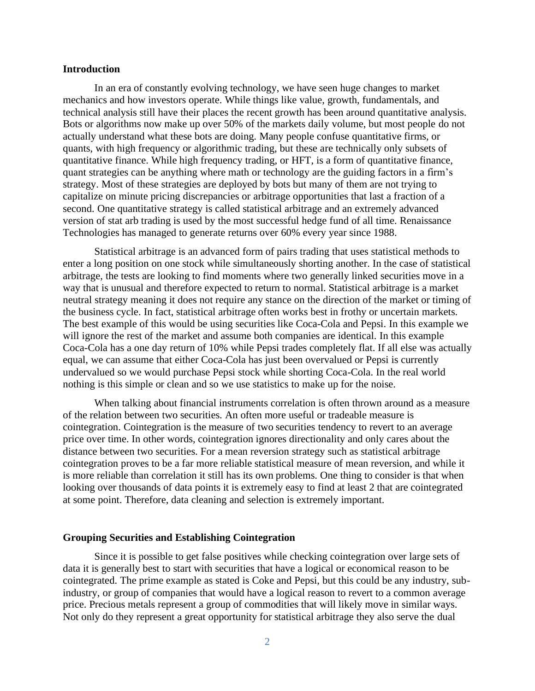#### **Introduction**

In an era of constantly evolving technology, we have seen huge changes to market mechanics and how investors operate. While things like value, growth, fundamentals, and technical analysis still have their places the recent growth has been around quantitative analysis. Bots or algorithms now make up over 50% of the markets daily volume, but most people do not actually understand what these bots are doing. Many people confuse quantitative firms, or quants, with high frequency or algorithmic trading, but these are technically only subsets of quantitative finance. While high frequency trading, or HFT, is a form of quantitative finance, quant strategies can be anything where math or technology are the guiding factors in a firm's strategy. Most of these strategies are deployed by bots but many of them are not trying to capitalize on minute pricing discrepancies or arbitrage opportunities that last a fraction of a second. One quantitative strategy is called statistical arbitrage and an extremely advanced version of stat arb trading is used by the most successful hedge fund of all time. Renaissance Technologies has managed to generate returns over 60% every year since 1988.

Statistical arbitrage is an advanced form of pairs trading that uses statistical methods to enter a long position on one stock while simultaneously shorting another. In the case of statistical arbitrage, the tests are looking to find moments where two generally linked securities move in a way that is unusual and therefore expected to return to normal. Statistical arbitrage is a market neutral strategy meaning it does not require any stance on the direction of the market or timing of the business cycle. In fact, statistical arbitrage often works best in frothy or uncertain markets. The best example of this would be using securities like Coca-Cola and Pepsi. In this example we will ignore the rest of the market and assume both companies are identical. In this example Coca-Cola has a one day return of 10% while Pepsi trades completely flat. If all else was actually equal, we can assume that either Coca-Cola has just been overvalued or Pepsi is currently undervalued so we would purchase Pepsi stock while shorting Coca-Cola. In the real world nothing is this simple or clean and so we use statistics to make up for the noise.

When talking about financial instruments correlation is often thrown around as a measure of the relation between two securities. An often more useful or tradeable measure is cointegration. Cointegration is the measure of two securities tendency to revert to an average price over time. In other words, cointegration ignores directionality and only cares about the distance between two securities. For a mean reversion strategy such as statistical arbitrage cointegration proves to be a far more reliable statistical measure of mean reversion, and while it is more reliable than correlation it still has its own problems. One thing to consider is that when looking over thousands of data points it is extremely easy to find at least 2 that are cointegrated at some point. Therefore, data cleaning and selection is extremely important.

#### **Grouping Securities and Establishing Cointegration**

Since it is possible to get false positives while checking cointegration over large sets of data it is generally best to start with securities that have a logical or economical reason to be cointegrated. The prime example as stated is Coke and Pepsi, but this could be any industry, subindustry, or group of companies that would have a logical reason to revert to a common average price. Precious metals represent a group of commodities that will likely move in similar ways. Not only do they represent a great opportunity for statistical arbitrage they also serve the dual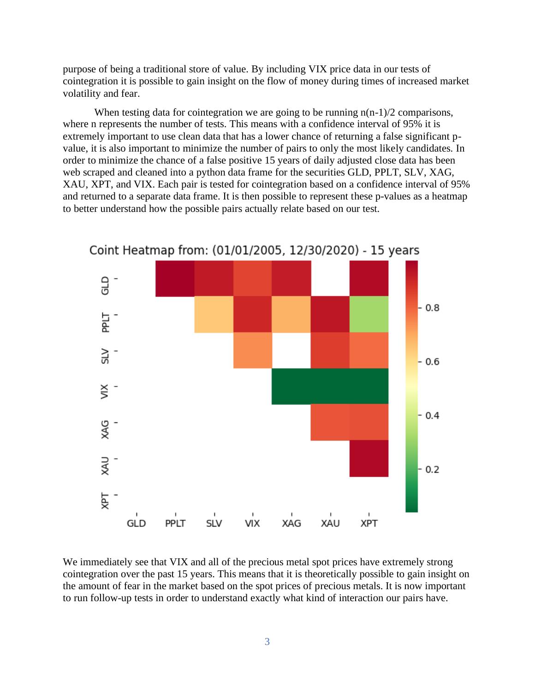purpose of being a traditional store of value. By including VIX price data in our tests of cointegration it is possible to gain insight on the flow of money during times of increased market volatility and fear.

When testing data for cointegration we are going to be running  $n(n-1)/2$  comparisons, where n represents the number of tests. This means with a confidence interval of 95% it is extremely important to use clean data that has a lower chance of returning a false significant pvalue, it is also important to minimize the number of pairs to only the most likely candidates. In order to minimize the chance of a false positive 15 years of daily adjusted close data has been web scraped and cleaned into a python data frame for the securities GLD, PPLT, SLV, XAG, XAU, XPT, and VIX. Each pair is tested for cointegration based on a confidence interval of 95% and returned to a separate data frame. It is then possible to represent these p-values as a heatmap to better understand how the possible pairs actually relate based on our test.



Coint Heatmap from: (01/01/2005, 12/30/2020) - 15 years

We immediately see that VIX and all of the precious metal spot prices have extremely strong cointegration over the past 15 years. This means that it is theoretically possible to gain insight on the amount of fear in the market based on the spot prices of precious metals. It is now important to run follow-up tests in order to understand exactly what kind of interaction our pairs have.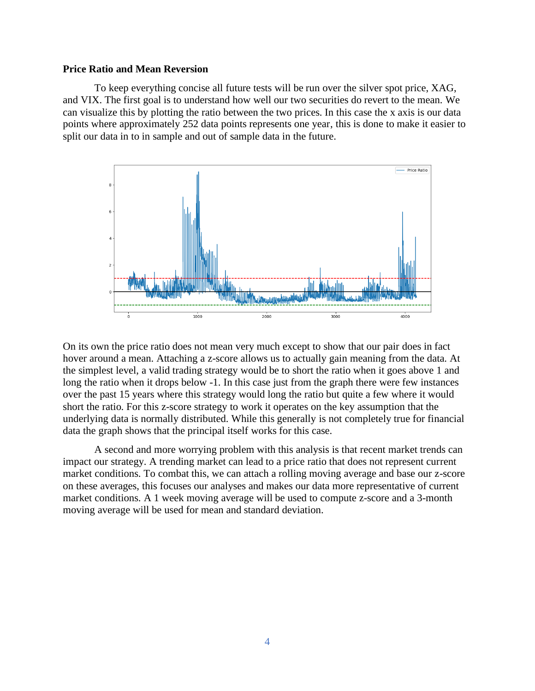#### **Price Ratio and Mean Reversion**

To keep everything concise all future tests will be run over the silver spot price, XAG, and VIX. The first goal is to understand how well our two securities do revert to the mean. We can visualize this by plotting the ratio between the two prices. In this case the x axis is our data points where approximately 252 data points represents one year, this is done to make it easier to split our data in to in sample and out of sample data in the future.



On its own the price ratio does not mean very much except to show that our pair does in fact hover around a mean. Attaching a z-score allows us to actually gain meaning from the data. At the simplest level, a valid trading strategy would be to short the ratio when it goes above 1 and long the ratio when it drops below -1. In this case just from the graph there were few instances over the past 15 years where this strategy would long the ratio but quite a few where it would short the ratio. For this z-score strategy to work it operates on the key assumption that the underlying data is normally distributed. While this generally is not completely true for financial data the graph shows that the principal itself works for this case.

A second and more worrying problem with this analysis is that recent market trends can impact our strategy. A trending market can lead to a price ratio that does not represent current market conditions. To combat this, we can attach a rolling moving average and base our z-score on these averages, this focuses our analyses and makes our data more representative of current market conditions. A 1 week moving average will be used to compute z-score and a 3-month moving average will be used for mean and standard deviation.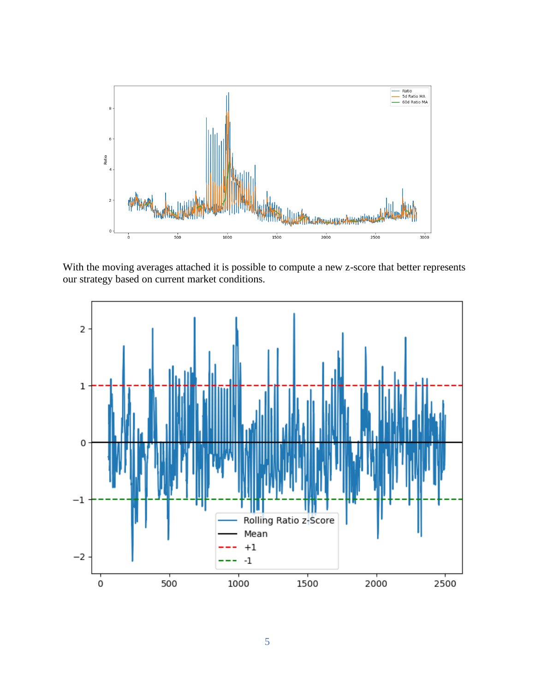

With the moving averages attached it is possible to compute a new z-score that better represents our strategy based on current market conditions.

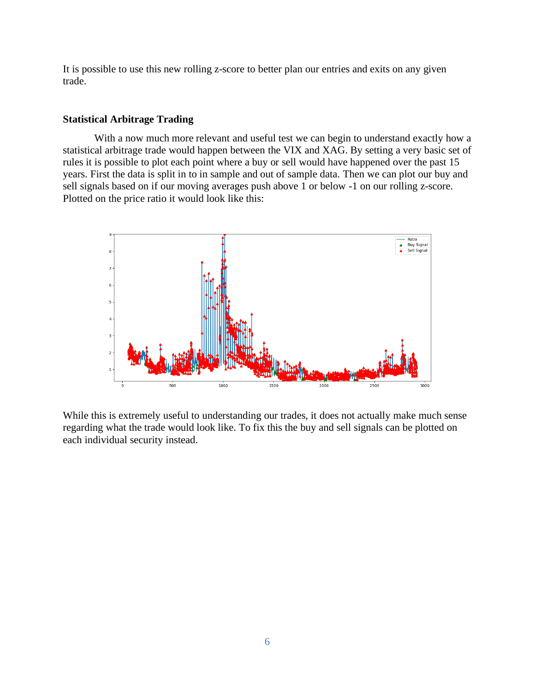It is possible to use this new rolling z-score to better plan our entries and exits on any given trade.

### **Statistical Arbitrage Trading**

With a now much more relevant and useful test we can begin to understand exactly how a statistical arbitrage trade would happen between the VIX and XAG. By setting a very basic set of rules it is possible to plot each point where a buy or sell would have happened over the past 15 years. First the data is split in to in sample and out of sample data. Then we can plot our buy and sell signals based on if our moving averages push above 1 or below -1 on our rolling z-score. Plotted on the price ratio it would look like this:



While this is extremely useful to understanding our trades, it does not actually make much sense regarding what the trade would look like. To fix this the buy and sell signals can be plotted on each individual security instead.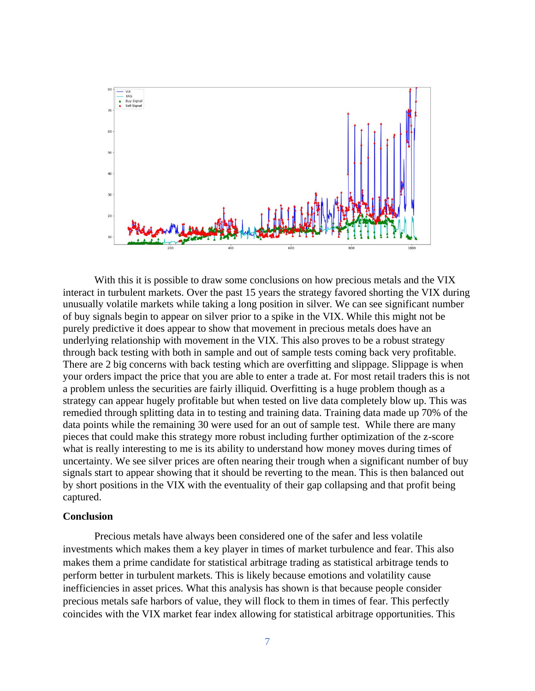

With this it is possible to draw some conclusions on how precious metals and the VIX interact in turbulent markets. Over the past 15 years the strategy favored shorting the VIX during unusually volatile markets while taking a long position in silver. We can see significant number of buy signals begin to appear on silver prior to a spike in the VIX. While this might not be purely predictive it does appear to show that movement in precious metals does have an underlying relationship with movement in the VIX. This also proves to be a robust strategy through back testing with both in sample and out of sample tests coming back very profitable. There are 2 big concerns with back testing which are overfitting and slippage. Slippage is when your orders impact the price that you are able to enter a trade at. For most retail traders this is not a problem unless the securities are fairly illiquid. Overfitting is a huge problem though as a strategy can appear hugely profitable but when tested on live data completely blow up. This was remedied through splitting data in to testing and training data. Training data made up 70% of the data points while the remaining 30 were used for an out of sample test. While there are many pieces that could make this strategy more robust including further optimization of the z-score what is really interesting to me is its ability to understand how money moves during times of uncertainty. We see silver prices are often nearing their trough when a significant number of buy signals start to appear showing that it should be reverting to the mean. This is then balanced out by short positions in the VIX with the eventuality of their gap collapsing and that profit being captured.

#### **Conclusion**

Precious metals have always been considered one of the safer and less volatile investments which makes them a key player in times of market turbulence and fear. This also makes them a prime candidate for statistical arbitrage trading as statistical arbitrage tends to perform better in turbulent markets. This is likely because emotions and volatility cause inefficiencies in asset prices. What this analysis has shown is that because people consider precious metals safe harbors of value, they will flock to them in times of fear. This perfectly coincides with the VIX market fear index allowing for statistical arbitrage opportunities. This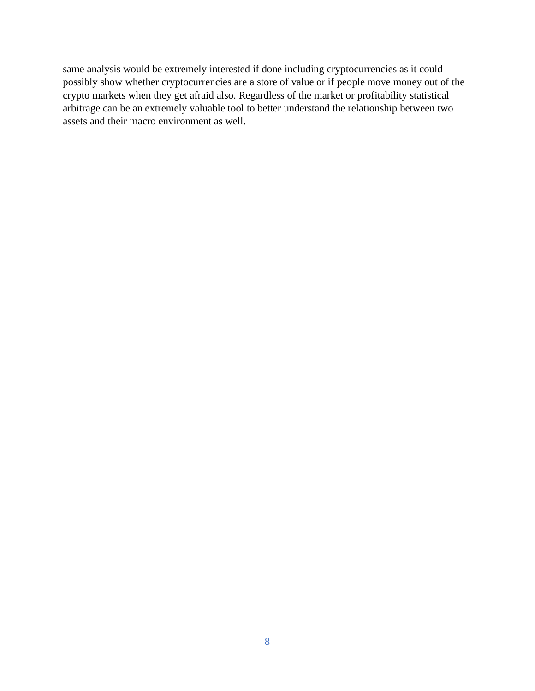same analysis would be extremely interested if done including cryptocurrencies as it could possibly show whether cryptocurrencies are a store of value or if people move money out of the crypto markets when they get afraid also. Regardless of the market or profitability statistical arbitrage can be an extremely valuable tool to better understand the relationship between two assets and their macro environment as well.